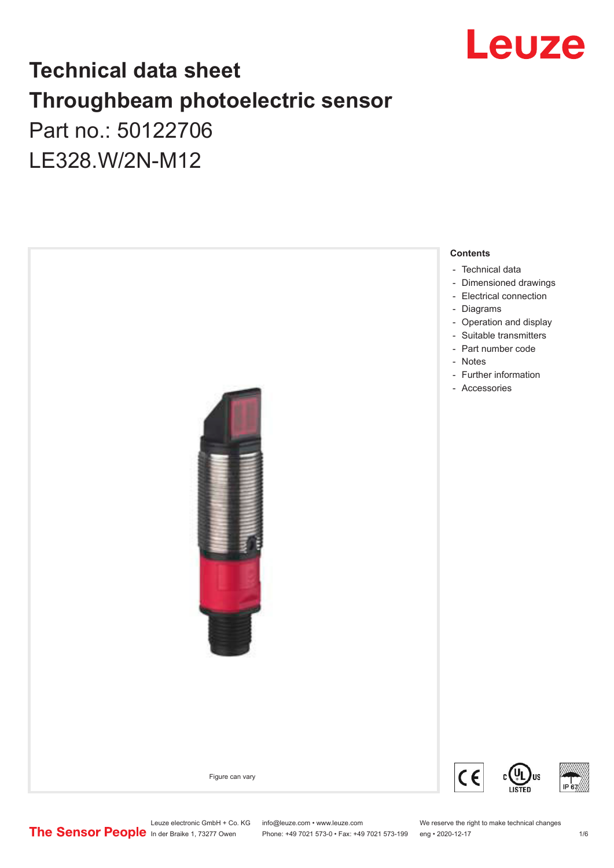

## **Technical data sheet Throughbeam photoelectric sensor**  Part no.: 50122706 LE328.W/2N-M12



Leuze electronic GmbH + Co. KG info@leuze.com • www.leuze.com We reserve the right to make technical changes<br>
The Sensor People in der Braike 1, 73277 Owen Phone: +49 7021 573-0 • Fax: +49 7021 573-199 eng • 2020-12-17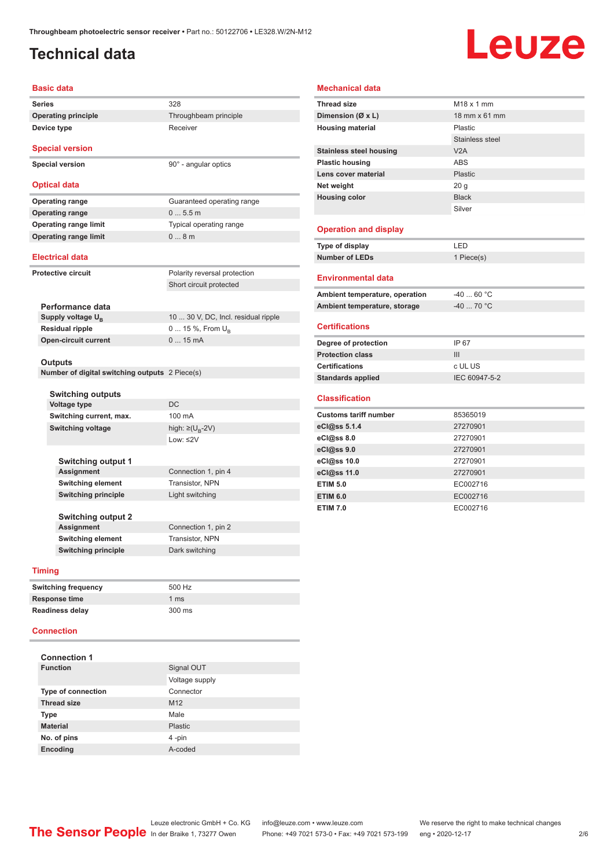### <span id="page-1-0"></span>**Technical data**

**Device type** Receiver

## Leuze

#### **Basic data**

**Series** 328 **Operating principle** Throughbeam principle

**Special version**

**Special version** 90° - angular optics

#### **Optical data**

**Operating range** Guaranteed operating range **Operating range** 0 ... 5.5 m **Operating range limit** Typical operating range **Operating range limit**  $0... 8$  m

#### **Electrical data**

**Protective circuit** Polarity reversal protection

|                               | Short circuit protected             |
|-------------------------------|-------------------------------------|
|                               |                                     |
| Performance data              |                                     |
| Supply voltage U <sub>p</sub> | 10  30 V, DC, Incl. residual ripple |
| <b>Residual ripple</b>        | 0  15 %, From $U_{\rm B}$           |

#### **Outputs**

**Number of digital switching outputs** 2 Piece(s)

**Open-circuit current** 0 ... 15 mA

| <b>Switching outputs</b>   |                                   |
|----------------------------|-----------------------------------|
| <b>Voltage type</b>        | DC.                               |
| Switching current, max.    | 100 mA                            |
| <b>Switching voltage</b>   | high: $\geq$ (U <sub>B</sub> -2V) |
|                            | $1$ nw: $\leq$ 2V                 |
|                            |                                   |
| <b>Switching output 1</b>  |                                   |
| <b>Assignment</b>          | Connection 1, pin 4               |
| <b>Switching element</b>   | <b>Transistor, NPN</b>            |
| <b>Switching principle</b> | Light switching                   |
|                            |                                   |
| <b>Switching output 2</b>  |                                   |
| Assignment                 | Connection 1, pin 2               |

#### **Timing**

| <b>Switching frequency</b> | 500 Hz |
|----------------------------|--------|
| Response time              | 1 ms   |
| <b>Readiness delay</b>     | 300 ms |

**Switching element** Transistor, NPN **Switching principle** Dark switching

#### **Connection**

| <b>Connection 1</b>       |                 |
|---------------------------|-----------------|
| <b>Function</b>           | Signal OUT      |
|                           | Voltage supply  |
| <b>Type of connection</b> | Connector       |
| <b>Thread size</b>        | M <sub>12</sub> |
| <b>Type</b>               | Male            |
| <b>Material</b>           | <b>Plastic</b>  |
| No. of pins               | 4-pin           |
| <b>Encoding</b>           | A-coded         |

#### **Mechanical data**

| <b>Thread size</b>             | M18 x 1 mm             |
|--------------------------------|------------------------|
| Dimension (Ø x L)              | 18 mm x 61 mm          |
| <b>Housing material</b>        | Plastic                |
|                                | <b>Stainless steel</b> |
| <b>Stainless steel housing</b> | V2A                    |
| <b>Plastic housing</b>         | <b>ABS</b>             |
| Lens cover material            | Plastic                |
| Net weight                     | 20 <sub>g</sub>        |
| <b>Housing color</b>           | <b>Black</b>           |
|                                | Silver                 |
|                                |                        |
| <b>Operation and display</b>   |                        |
| Type of display                | LED                    |
| <b>Number of LEDs</b>          | 1 Piece(s)             |
|                                |                        |
| <b>Environmental data</b>      |                        |
| Ambient temperature, operation | $-4060 °C$             |
| Ambient temperature, storage   | $-4070 °C$             |
|                                |                        |
| <b>Certifications</b>          |                        |
| Degree of protection           | IP 67                  |
| <b>Protection class</b>        | III                    |
| <b>Certifications</b>          | c UL US                |
| <b>Standards applied</b>       | IEC 60947-5-2          |
|                                |                        |
| <b>Classification</b>          |                        |
| <b>Customs tariff number</b>   | 85365019               |
| eCl@ss 5.1.4                   | 27270901               |
| eCl@ss 8.0                     | 27270901               |
| eCl@ss 9.0                     | 27270901               |
| eCl@ss 10.0                    | 27270901               |
| eCl@ss 11.0                    | 27270901               |
| <b>ETIM 5.0</b>                | EC002716               |
| <b>ETIM 6.0</b>                | EC002716               |
| <b>ETIM 7.0</b>                | EC002716               |
|                                |                        |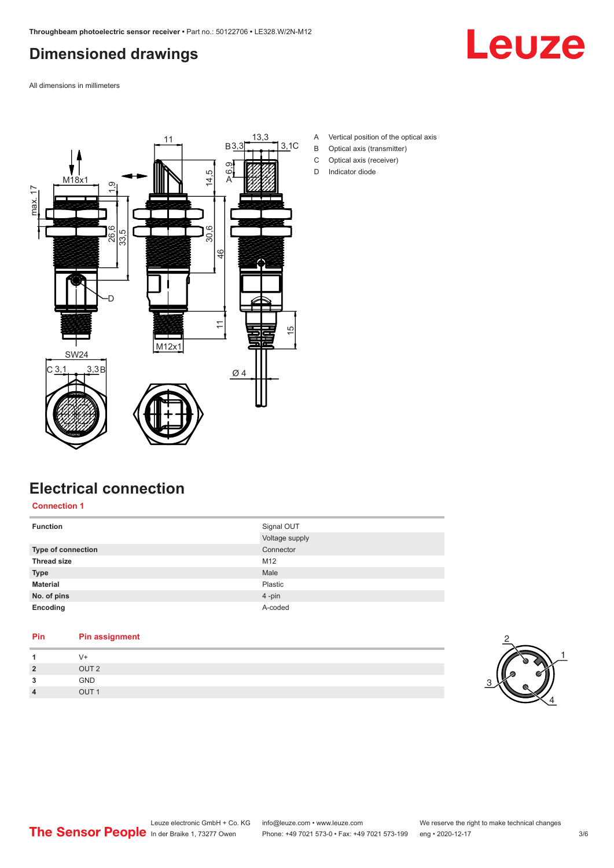## <span id="page-2-0"></span>**Dimensioned drawings**



All dimensions in millimeters



- A Vertical position of the optical axis
- B Optical axis (transmitter)
- C Optical axis (receiver)
- D Indicator diode

### **Electrical connection**

**Connection 1**

| <b>Function</b>    | Signal OUT<br>Voltage supply |
|--------------------|------------------------------|
| Type of connection | Connector                    |
| <b>Thread size</b> | M12                          |
| <b>Type</b>        | Male                         |
| <b>Material</b>    | Plastic                      |
| No. of pins        | 4-pin                        |
| Encoding           | A-coded                      |

| Pin            | <b>Pin assignment</b> |
|----------------|-----------------------|
|                | $V +$                 |
| $\overline{2}$ | OUT <sub>2</sub>      |
| 3              | <b>GND</b>            |
| $\overline{4}$ | OUT <sub>1</sub>      |

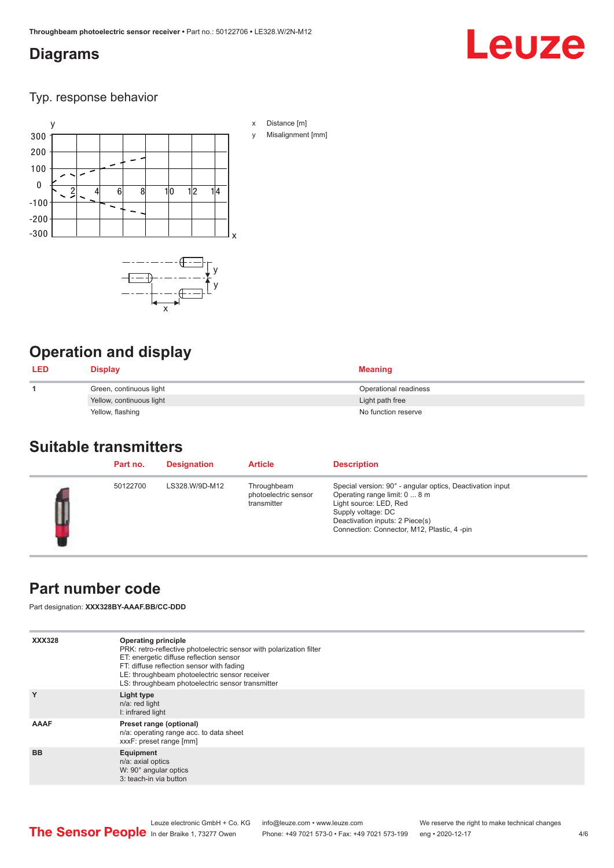### <span id="page-3-0"></span>**Diagrams**

# Leuze

#### Typ. response behavior



## **Operation and display**

| <b>LED</b> | <b>Display</b>           | <b>Meaning</b>        |
|------------|--------------------------|-----------------------|
|            | Green, continuous light  | Operational readiness |
|            | Yellow, continuous light | Light path free       |
|            | Yellow, flashing         | No function reserve   |

#### **Suitable transmitters**

| Part no. | <b>Designation</b> | <b>Article</b>                                     | <b>Description</b>                                                                                                                                                                                                          |
|----------|--------------------|----------------------------------------------------|-----------------------------------------------------------------------------------------------------------------------------------------------------------------------------------------------------------------------------|
| 50122700 | LS328.W/9D-M12     | Throughbeam<br>photoelectric sensor<br>transmitter | Special version: 90° - angular optics, Deactivation input<br>Operating range limit: 0  8 m<br>Light source: LED, Red<br>Supply voltage: DC<br>Deactivation inputs: 2 Piece(s)<br>Connection: Connector, M12, Plastic, 4-pin |

### **Part number code**

Part designation: **XXX328BY-AAAF.BB/CC-DDD**

| <b>XXX328</b> | <b>Operating principle</b><br>PRK: retro-reflective photoelectric sensor with polarization filter<br>ET: energetic diffuse reflection sensor<br>FT: diffuse reflection sensor with fading<br>LE: throughbeam photoelectric sensor receiver<br>LS: throughbeam photoelectric sensor transmitter |
|---------------|------------------------------------------------------------------------------------------------------------------------------------------------------------------------------------------------------------------------------------------------------------------------------------------------|
| Y             | Light type<br>n/a: red light<br>I: infrared light                                                                                                                                                                                                                                              |
| <b>AAAF</b>   | Preset range (optional)<br>n/a: operating range acc. to data sheet<br>xxxF: preset range [mm]                                                                                                                                                                                                  |
| <b>BB</b>     | Equipment<br>n/a: axial optics<br>W: 90° angular optics<br>3: teach-in via button                                                                                                                                                                                                              |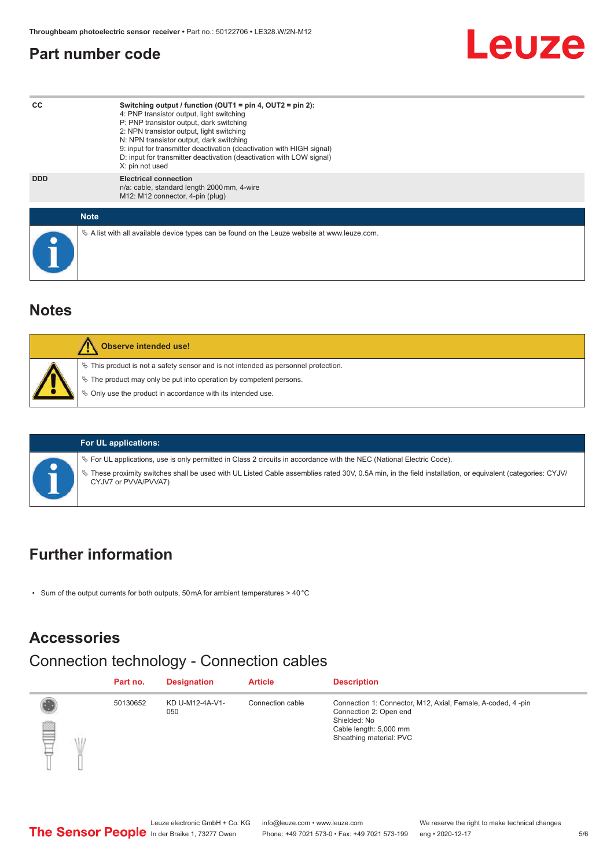#### <span id="page-4-0"></span>**Part number code**



#### **Notes**

| Observe intended use!                                                                 |  |
|---------------------------------------------------------------------------------------|--|
| $\%$ This product is not a safety sensor and is not intended as personnel protection. |  |
| ₹ The product may only be put into operation by competent persons.                    |  |
| ♦ Only use the product in accordance with its intended use.                           |  |
|                                                                                       |  |

#### **For UL applications:**

ª For UL applications, use is only permitted in Class 2 circuits in accordance with the NEC (National Electric Code).

ª These proximity switches shall be used with UL Listed Cable assemblies rated 30V, 0.5A min, in the field installation, or equivalent (categories: CYJV/ CYJV7 or PVVA/PVVA7)

#### **Further information**

• Sum of the output currents for both outputs, 50 mA for ambient temperatures > 40 °C

#### **Accessories**

## Connection technology - Connection cables

|   | Part no. | <b>Designation</b>     | <b>Article</b>   | <b>Description</b>                                                                                                                                         |
|---|----------|------------------------|------------------|------------------------------------------------------------------------------------------------------------------------------------------------------------|
| P | 50130652 | KD U-M12-4A-V1-<br>050 | Connection cable | Connection 1: Connector, M12, Axial, Female, A-coded, 4-pin<br>Connection 2: Open end<br>Shielded: No<br>Cable length: 5,000 mm<br>Sheathing material: PVC |

Leuze